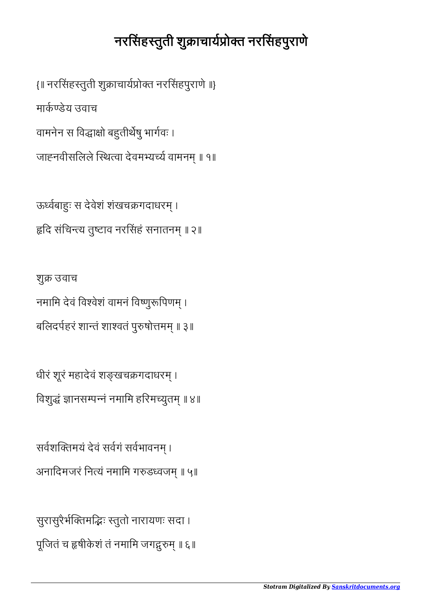सुरासुरैर्भक्तिमद्भिः स्तुतो नारायणः सदा । पूजितं च हृषीकेशं तं नमामि जगद्गुरुम् ॥ ६॥

सर्वशक्तिमयं देवं सर्वगं सर्वभावनम् । अनादिमजरं नित्यं नमामि गरुडध्वजम् ॥ ५॥

धीरं शूरं महादेवं शङ्खचक्रगदाधरम् । विशुद्धं ज्ञानसम्पन्नं नमामि हरिमच्युतम् ॥ ४॥

शुक्र उवाच नमामि देवं विश्वेशं वामनं विष्णुरूपिणम् । बलिदर्पहरं शान्तं शाश्वतं पुरुषोत्तमम् ॥ ३॥

ऊर्ध्वबाहुः स देवेशं शंखचक्रगदाधरम् । हृदि संचिन्त्य तुष्टाव नरसिंहं सनातनम् ॥ २॥

वामनेन स विद्धाक्षो बहुतीर्थेषु भार्गवः । जाह्नवीसलिले स्थित्वा देवमभ्यर्च्य वामनम् ॥ १॥

 $\{ \parallel$  नरसिंहस्तुती शुक्राचार्यप्रोक्त नरसिंहपुराणे ॥}

मार्कण्डेय उवाच

## नरसिंहस्तूती शुक्राचार्यप्रोक्त नरसिंहपुराणे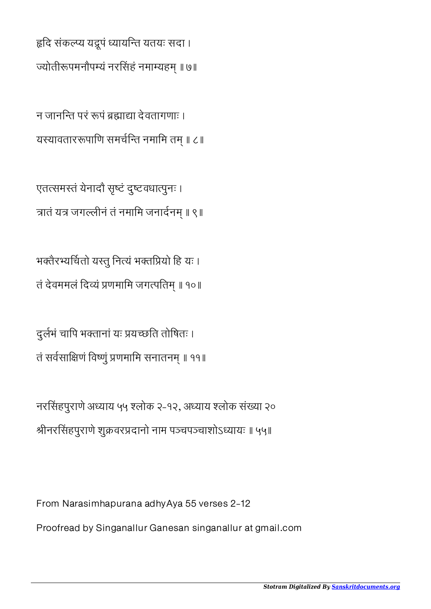हृदि संकल्प्य यद्रूपं ध्यायन्ति यतयः सदा । ज्योतीरूपमनौपम्यं नरसिंहं नमाम्यहम् ॥ ७॥

न जानन्ति परं रूपं ब्रह्माद्या देवतागणाः । यस्यावताररूपाणि समर्चन्ति नमामि तम् ॥ ८॥

एतसमतं येनादौ सृटं दुटवधापुनः । त्रातं यत्र जगल्लीनं तं नमामि जनार्दनम् ॥ ९॥

भक्तैरभ्यर्चितो यस्तु नित्यं भक्तप्रियो हि यः । तं देवममलं दिव्यं प्रणमामि जगत्पतिम् ॥ १०॥

दुर्लभं चापि भक्तानां यः प्रयच्छति तोषितः । तं सर्वसाक्षिणं विष्णुं प्रणमामि सनातनम् ॥ ११॥

नरसहपुराणे अयाय ५५ लोक २-१२, अयाय लोक संया २० ीनरसहपुराणे शुवरदानो नाम पचपचाशोऽयायः ॥ ५५॥

From Narasimhapurana adhyAya 55 verses 2-12

Proofread by Singanallur Ganesan singanallur at gmail.com